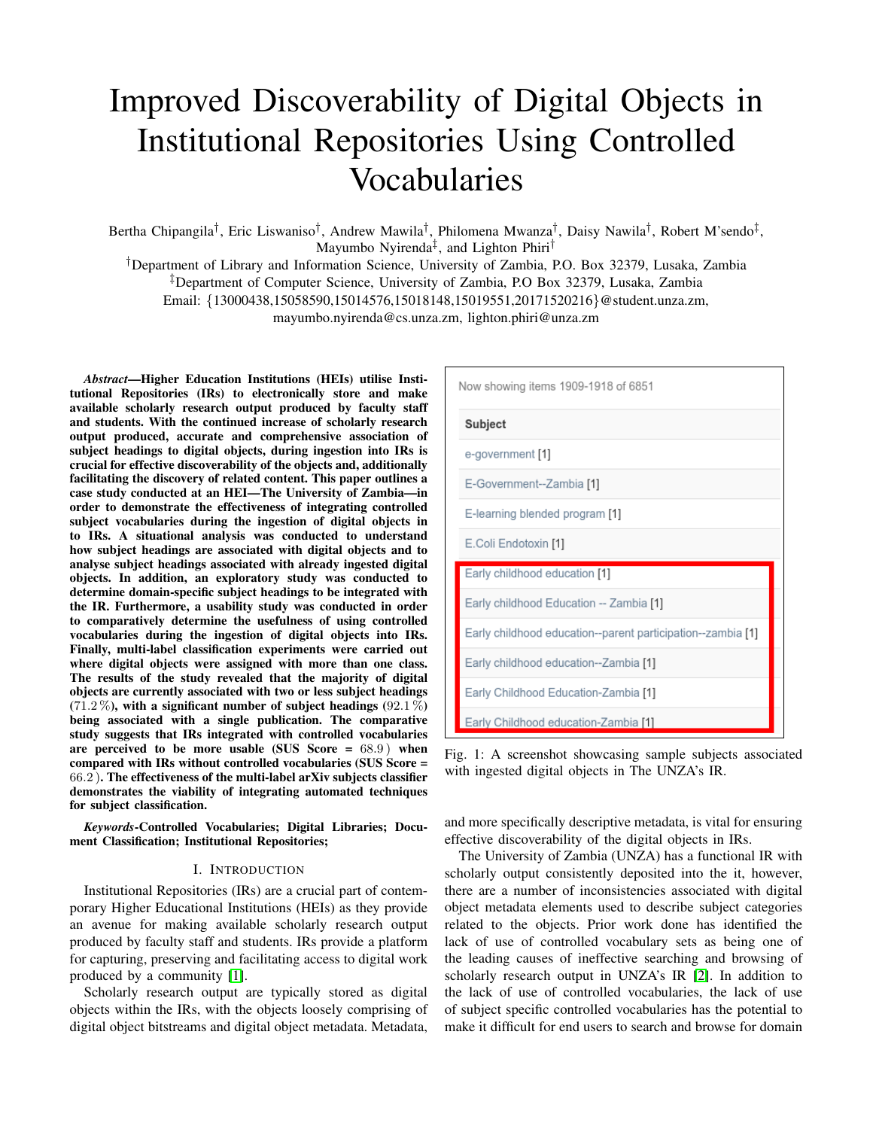# Improved Discoverability of Digital Objects in Institutional Repositories Using Controlled Vocabularies

Bertha Chipangila<sup>†</sup>, Eric Liswaniso<sup>†</sup>, Andrew Mawila<sup>†</sup>, Philomena Mwanza<sup>†</sup>, Daisy Nawila<sup>†</sup>, Robert M'sendo<sup>‡</sup>, Mayumbo Nyirenda‡ , and Lighton Phiri†

†Department of Library and Information Science, University of Zambia, P.O. Box 32379, Lusaka, Zambia ‡Department of Computer Science, University of Zambia, P.O Box 32379, Lusaka, Zambia Email: {13000438,15058590,15014576,15018148,15019551,20171520216}@student.unza.zm, mayumbo.nyirenda@cs.unza.zm, lighton.phiri@unza.zm

*Abstract*—Higher Education Institutions (HEIs) utilise Institutional Repositories (IRs) to electronically store and make available scholarly research output produced by faculty staff and students. With the continued increase of scholarly research output produced, accurate and comprehensive association of subject headings to digital objects, during ingestion into IRs is crucial for effective discoverability of the objects and, additionally facilitating the discovery of related content. This paper outlines a case study conducted at an HEI—The University of Zambia—in order to demonstrate the effectiveness of integrating controlled subject vocabularies during the ingestion of digital objects in to IRs. A situational analysis was conducted to understand how subject headings are associated with digital objects and to analyse subject headings associated with already ingested digital objects. In addition, an exploratory study was conducted to determine domain-specific subject headings to be integrated with the IR. Furthermore, a usability study was conducted in order to comparatively determine the usefulness of using controlled vocabularies during the ingestion of digital objects into IRs. Finally, multi-label classification experiments were carried out where digital objects were assigned with more than one class. The results of the study revealed that the majority of digital objects are currently associated with two or less subject headings  $(71.2\%)$ , with a significant number of subject headings  $(92.1\%)$ being associated with a single publication. The comparative study suggests that IRs integrated with controlled vocabularies are perceived to be more usable (SUS Score  $= 68.9$ ) when compared with IRs without controlled vocabularies (SUS Score = 66.2 ). The effectiveness of the multi-label arXiv subjects classifier demonstrates the viability of integrating automated techniques for subject classification.

*Keywords*-Controlled Vocabularies; Digital Libraries; Document Classification; Institutional Repositories;

#### I. INTRODUCTION

Institutional Repositories (IRs) are a crucial part of contemporary Higher Educational Institutions (HEIs) as they provide an avenue for making available scholarly research output produced by faculty staff and students. IRs provide a platform for capturing, preserving and facilitating access to digital work produced by a community [\[1\]](#page-9-0).

Scholarly research output are typically stored as digital objects within the IRs, with the objects loosely comprising of digital object bitstreams and digital object metadata. Metadata,

<span id="page-0-0"></span>

Fig. 1: A screenshot showcasing sample subjects associated with ingested digital objects in The UNZA's IR.

and more specifically descriptive metadata, is vital for ensuring effective discoverability of the digital objects in IRs.

The University of Zambia (UNZA) has a functional IR with scholarly output consistently deposited into the it, however, there are a number of inconsistencies associated with digital object metadata elements used to describe subject categories related to the objects. Prior work done has identified the lack of use of controlled vocabulary sets as being one of the leading causes of ineffective searching and browsing of scholarly research output in UNZA's IR [\[2\]](#page-9-1). In addition to the lack of use of controlled vocabularies, the lack of use of subject specific controlled vocabularies has the potential to make it difficult for end users to search and browse for domain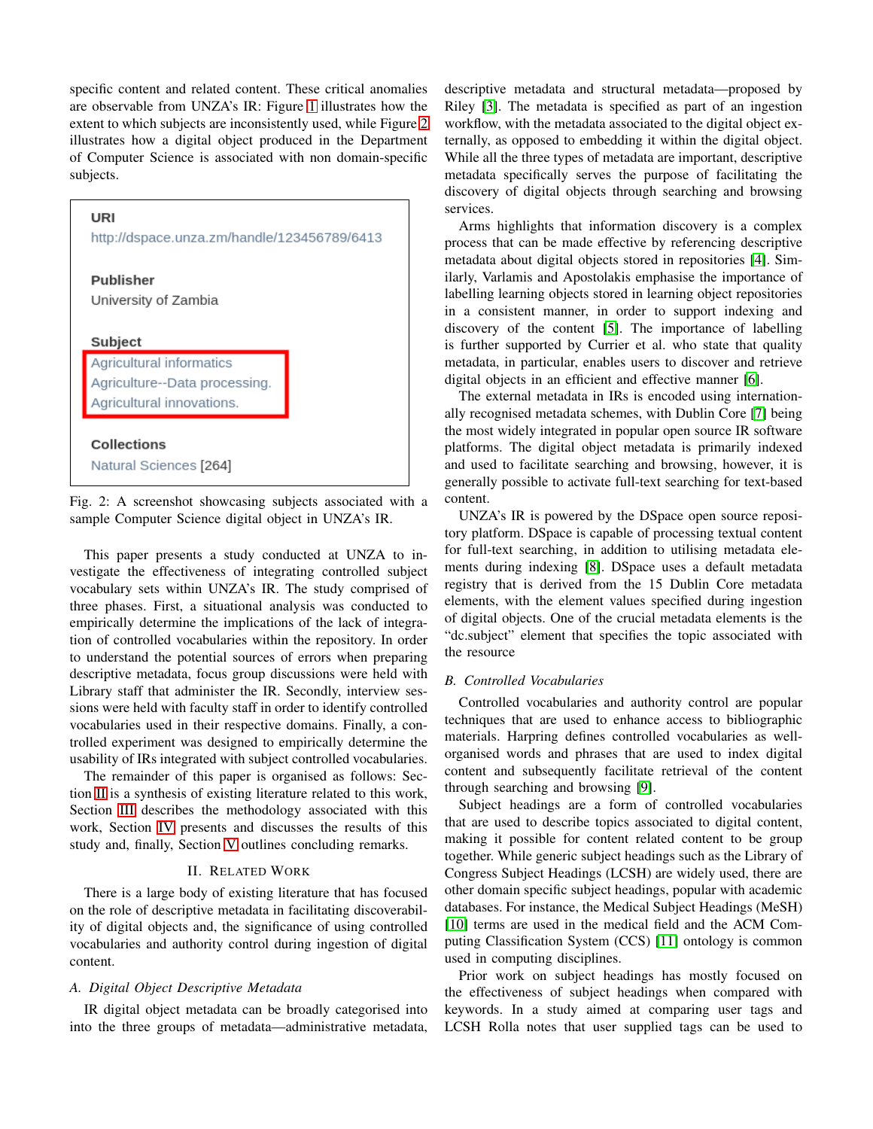specific content and related content. These critical anomalies are observable from UNZA's IR: Figure [1](#page-0-0) illustrates how the extent to which subjects are inconsistently used, while Figure [2](#page-1-0) illustrates how a digital object produced in the Department of Computer Science is associated with non domain-specific subjects.

<span id="page-1-0"></span>

Fig. 2: A screenshot showcasing subjects associated with a sample Computer Science digital object in UNZA's IR.

This paper presents a study conducted at UNZA to investigate the effectiveness of integrating controlled subject vocabulary sets within UNZA's IR. The study comprised of three phases. First, a situational analysis was conducted to empirically determine the implications of the lack of integration of controlled vocabularies within the repository. In order to understand the potential sources of errors when preparing descriptive metadata, focus group discussions were held with Library staff that administer the IR. Secondly, interview sessions were held with faculty staff in order to identify controlled vocabularies used in their respective domains. Finally, a controlled experiment was designed to empirically determine the usability of IRs integrated with subject controlled vocabularies.

The remainder of this paper is organised as follows: Section [II](#page-1-1) is a synthesis of existing literature related to this work, Section [III](#page-2-0) describes the methodology associated with this work, Section [IV](#page-5-0) presents and discusses the results of this study and, finally, Section [V](#page-8-0) outlines concluding remarks.

## II. RELATED WORK

<span id="page-1-1"></span>There is a large body of existing literature that has focused on the role of descriptive metadata in facilitating discoverability of digital objects and, the significance of using controlled vocabularies and authority control during ingestion of digital content.

## *A. Digital Object Descriptive Metadata*

IR digital object metadata can be broadly categorised into into the three groups of metadata—administrative metadata, descriptive metadata and structural metadata—proposed by Riley [\[3\]](#page-9-2). The metadata is specified as part of an ingestion workflow, with the metadata associated to the digital object externally, as opposed to embedding it within the digital object. While all the three types of metadata are important, descriptive metadata specifically serves the purpose of facilitating the discovery of digital objects through searching and browsing services.

Arms highlights that information discovery is a complex process that can be made effective by referencing descriptive metadata about digital objects stored in repositories [\[4\]](#page-9-3). Similarly, Varlamis and Apostolakis emphasise the importance of labelling learning objects stored in learning object repositories in a consistent manner, in order to support indexing and discovery of the content [\[5\]](#page-9-4). The importance of labelling is further supported by Currier et al. who state that quality metadata, in particular, enables users to discover and retrieve digital objects in an efficient and effective manner [\[6\]](#page-9-5).

The external metadata in IRs is encoded using internationally recognised metadata schemes, with Dublin Core [\[7\]](#page-9-6) being the most widely integrated in popular open source IR software platforms. The digital object metadata is primarily indexed and used to facilitate searching and browsing, however, it is generally possible to activate full-text searching for text-based content.

UNZA's IR is powered by the DSpace open source repository platform. DSpace is capable of processing textual content for full-text searching, in addition to utilising metadata elements during indexing [\[8\]](#page-9-7). DSpace uses a default metadata registry that is derived from the 15 Dublin Core metadata elements, with the element values specified during ingestion of digital objects. One of the crucial metadata elements is the "dc.subject" element that specifies the topic associated with the resource

#### *B. Controlled Vocabularies*

Controlled vocabularies and authority control are popular techniques that are used to enhance access to bibliographic materials. Harpring defines controlled vocabularies as wellorganised words and phrases that are used to index digital content and subsequently facilitate retrieval of the content through searching and browsing [\[9\]](#page-9-8).

Subject headings are a form of controlled vocabularies that are used to describe topics associated to digital content, making it possible for content related content to be group together. While generic subject headings such as the Library of Congress Subject Headings (LCSH) are widely used, there are other domain specific subject headings, popular with academic databases. For instance, the Medical Subject Headings (MeSH) [\[10\]](#page-9-9) terms are used in the medical field and the ACM Computing Classification System (CCS) [\[11\]](#page-9-10) ontology is common used in computing disciplines.

Prior work on subject headings has mostly focused on the effectiveness of subject headings when compared with keywords. In a study aimed at comparing user tags and LCSH Rolla notes that user supplied tags can be used to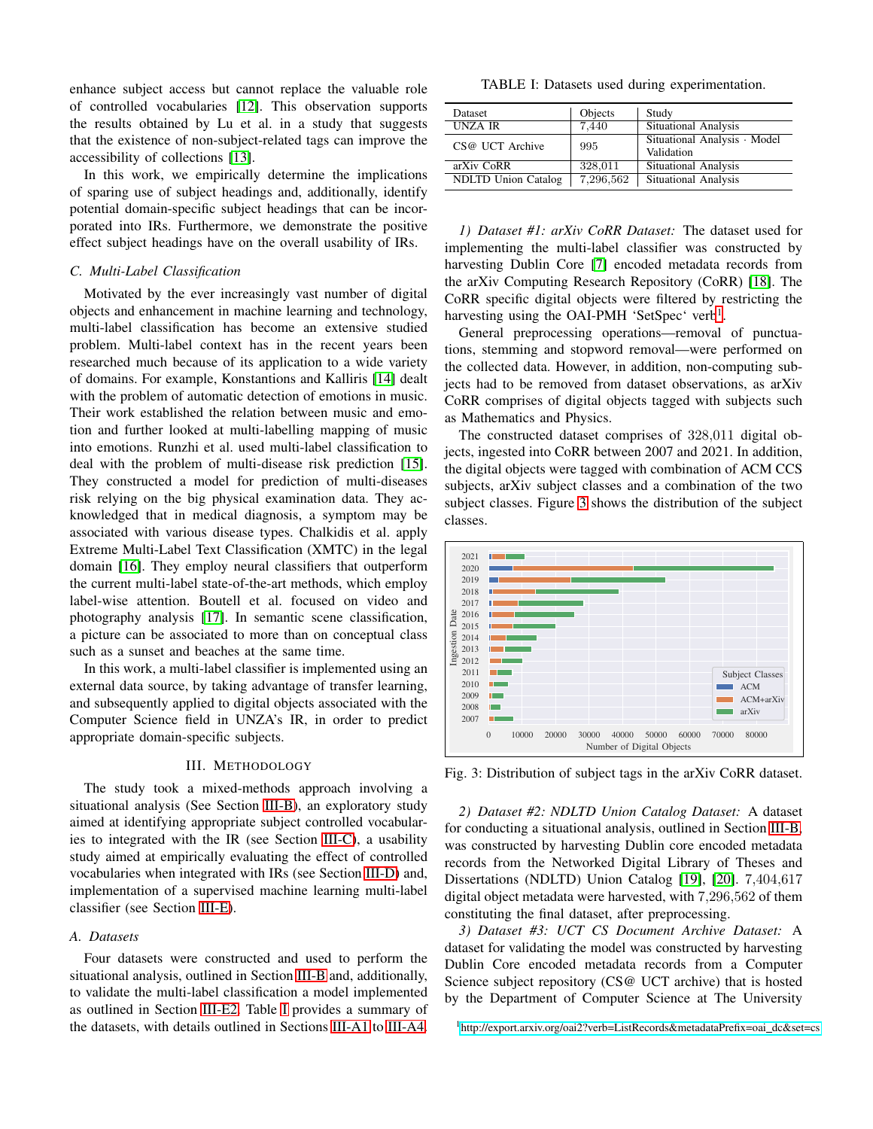enhance subject access but cannot replace the valuable role of controlled vocabularies [\[12\]](#page-9-11). This observation supports the results obtained by Lu et al. in a study that suggests that the existence of non-subject-related tags can improve the accessibility of collections [\[13\]](#page-9-12).

In this work, we empirically determine the implications of sparing use of subject headings and, additionally, identify potential domain-specific subject headings that can be incorporated into IRs. Furthermore, we demonstrate the positive effect subject headings have on the overall usability of IRs.

#### *C. Multi-Label Classification*

Motivated by the ever increasingly vast number of digital objects and enhancement in machine learning and technology, multi-label classification has become an extensive studied problem. Multi-label context has in the recent years been researched much because of its application to a wide variety of domains. For example, Konstantions and Kalliris [\[14\]](#page-9-13) dealt with the problem of automatic detection of emotions in music. Their work established the relation between music and emotion and further looked at multi-labelling mapping of music into emotions. Runzhi et al. used multi-label classification to deal with the problem of multi-disease risk prediction [\[15\]](#page-9-14). They constructed a model for prediction of multi-diseases risk relying on the big physical examination data. They acknowledged that in medical diagnosis, a symptom may be associated with various disease types. Chalkidis et al. apply Extreme Multi-Label Text Classification (XMTC) in the legal domain [\[16\]](#page-9-15). They employ neural classifiers that outperform the current multi-label state-of-the-art methods, which employ label-wise attention. Boutell et al. focused on video and photography analysis [\[17\]](#page-9-16). In semantic scene classification, a picture can be associated to more than on conceptual class such as a sunset and beaches at the same time.

In this work, a multi-label classifier is implemented using an external data source, by taking advantage of transfer learning, and subsequently applied to digital objects associated with the Computer Science field in UNZA's IR, in order to predict appropriate domain-specific subjects.

## III. METHODOLOGY

<span id="page-2-0"></span>The study took a mixed-methods approach involving a situational analysis (See Section [III-B\)](#page-3-0), an exploratory study aimed at identifying appropriate subject controlled vocabularies to integrated with the IR (see Section [III-C\)](#page-3-1), a usability study aimed at empirically evaluating the effect of controlled vocabularies when integrated with IRs (see Section [III-D\)](#page-3-2) and, implementation of a supervised machine learning multi-label classifier (see Section [III-E\)](#page-4-0).

#### *A. Datasets*

Four datasets were constructed and used to perform the situational analysis, outlined in Section [III-B](#page-3-0) and, additionally, to validate the multi-label classification a model implemented as outlined in Section [III-E2.](#page-4-1) Table [I](#page-2-1) provides a summary of the datasets, with details outlined in Sections [III-A1](#page-2-2) to [III-A4.](#page-3-3)

<span id="page-2-1"></span>TABLE I: Datasets used during experimentation.

| Dataset                    | Objects   | Study                                      |
|----------------------------|-----------|--------------------------------------------|
| UNZA IR                    | 7,440     | Situational Analysis                       |
| CS@ UCT Archive            | 995       | Situational Analysis · Model<br>Validation |
| arXiv CoRR                 | 328,011   | <b>Situational Analysis</b>                |
| <b>NDLTD</b> Union Catalog | 7,296,562 | <b>Situational Analysis</b>                |

<span id="page-2-2"></span>*1) Dataset #1: arXiv CoRR Dataset:* The dataset used for implementing the multi-label classifier was constructed by harvesting Dublin Core [\[7\]](#page-9-6) encoded metadata records from the arXiv Computing Research Repository (CoRR) [\[18\]](#page-9-17). The CoRR specific digital objects were filtered by restricting the harvesting using the OAI-PMH 'SetSpec' verb<sup>[1](#page-2-3)</sup>.

General preprocessing operations—removal of punctuations, stemming and stopword removal—were performed on the collected data. However, in addition, non-computing subjects had to be removed from dataset observations, as arXiv CoRR comprises of digital objects tagged with subjects such as Mathematics and Physics.

The constructed dataset comprises of <sup>328</sup>,<sup>011</sup> digital objects, ingested into CoRR between 2007 and 2021. In addition, the digital objects were tagged with combination of ACM CCS subjects, arXiv subject classes and a combination of the two subject classes. Figure [3](#page-2-4) shows the distribution of the subject classes.

<span id="page-2-4"></span>

Fig. 3: Distribution of subject tags in the arXiv CoRR dataset.

*2) Dataset #2: NDLTD Union Catalog Dataset:* A dataset for conducting a situational analysis, outlined in Section [III-B,](#page-3-0) was constructed by harvesting Dublin core encoded metadata records from the Networked Digital Library of Theses and Dissertations (NDLTD) Union Catalog [\[19\]](#page-9-18), [\[20\]](#page-9-19). <sup>7</sup>,404,<sup>617</sup> digital object metadata were harvested, with <sup>7</sup>,296,<sup>562</sup> of them constituting the final dataset, after preprocessing.

<span id="page-2-5"></span>*3) Dataset #3: UCT CS Document Archive Dataset:* A dataset for validating the model was constructed by harvesting Dublin Core encoded metadata records from a Computer Science subject repository (CS@ UCT archive) that is hosted by the Department of Computer Science at The University

<span id="page-2-3"></span><sup>1</sup>[http://export.arxiv.org/oai2?verb=ListRecords&metadataPrefix=oai](http://export.arxiv.org/oai2?verb=ListRecords&metadataPrefix=oai_dc&set=cs)\_dc&set=cs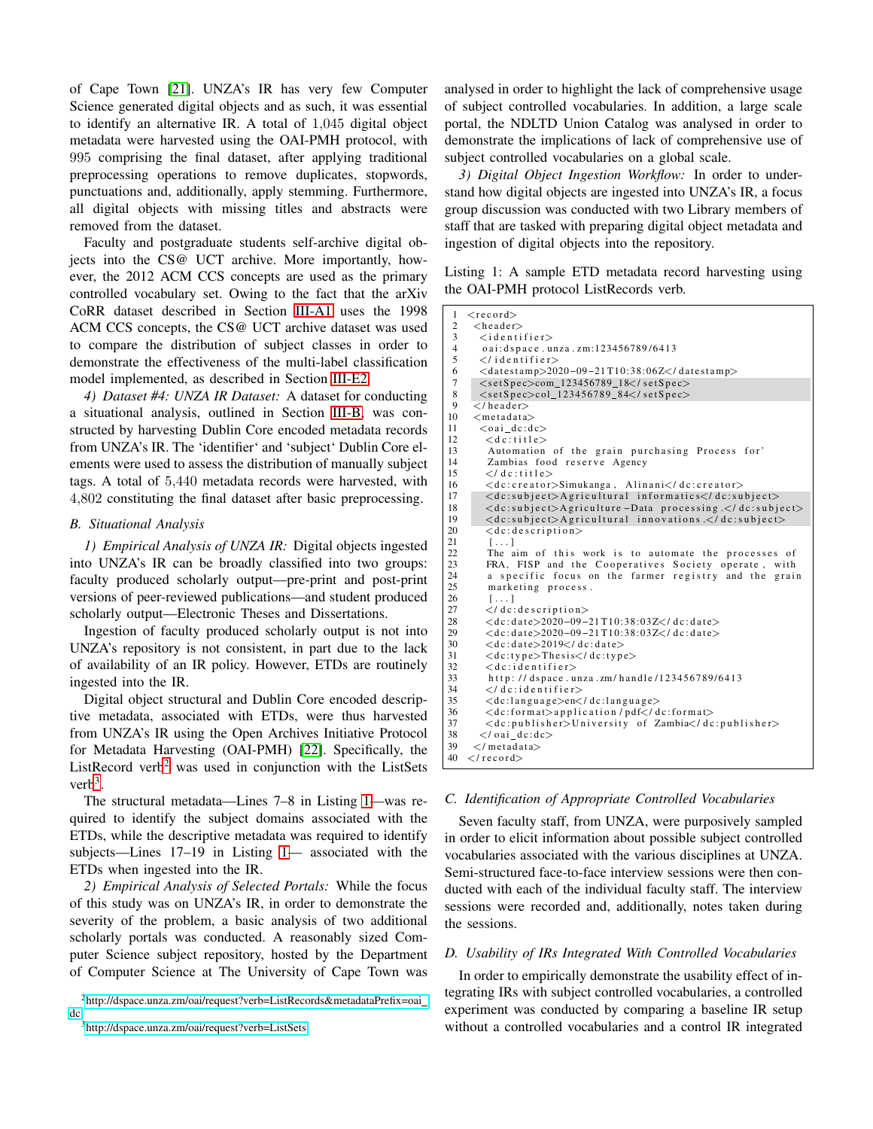of Cape Town [\[21\]](#page-9-20). UNZA's IR has very few Computer Science generated digital objects and as such, it was essential to identify an alternative IR. A total of <sup>1</sup>,<sup>045</sup> digital object metadata were harvested using the OAI-PMH protocol, with 995 comprising the final dataset, after applying traditional preprocessing operations to remove duplicates, stopwords, punctuations and, additionally, apply stemming. Furthermore, all digital objects with missing titles and abstracts were removed from the dataset.

Faculty and postgraduate students self-archive digital objects into the CS@ UCT archive. More importantly, however, the 2012 ACM CCS concepts are used as the primary controlled vocabulary set. Owing to the fact that the arXiv CoRR dataset described in Section [III-A1](#page-2-2) uses the 1998 ACM CCS concepts, the CS@ UCT archive dataset was used to compare the distribution of subject classes in order to demonstrate the effectiveness of the multi-label classification model implemented, as described in Section [III-E2.](#page-4-1)

<span id="page-3-3"></span>*4) Dataset #4: UNZA IR Dataset:* A dataset for conducting a situational analysis, outlined in Section [III-B,](#page-3-0) was constructed by harvesting Dublin Core encoded metadata records from UNZA's IR. The 'identifier' and 'subject' Dublin Core elements were used to assess the distribution of manually subject tags. A total of <sup>5</sup>,<sup>440</sup> metadata records were harvested, with <sup>4</sup>,<sup>802</sup> constituting the final dataset after basic preprocessing.

## <span id="page-3-0"></span>*B. Situational Analysis*

*1) Empirical Analysis of UNZA IR:* Digital objects ingested into UNZA's IR can be broadly classified into two groups: faculty produced scholarly output—pre-print and post-print versions of peer-reviewed publications—and student produced scholarly output—Electronic Theses and Dissertations.

Ingestion of faculty produced scholarly output is not into UNZA's repository is not consistent, in part due to the lack of availability of an IR policy. However, ETDs are routinely ingested into the IR.

Digital object structural and Dublin Core encoded descriptive metadata, associated with ETDs, were thus harvested from UNZA's IR using the Open Archives Initiative Protocol for Metadata Harvesting (OAI-PMH) [\[22\]](#page-9-21). Specifically, the ListRecord verb<sup>[2](#page-3-4)</sup> was used in conjunction with the ListSets  $verb^3$  $verb^3$ .

The structural metadata—Lines 7–8 in Listing [1—](#page-3-6)was required to identify the subject domains associated with the ETDs, while the descriptive metadata was required to identify subjects—Lines 17–19 in Listing [1—](#page-3-6) associated with the ETDs when ingested into the IR.

*2) Empirical Analysis of Selected Portals:* While the focus of this study was on UNZA's IR, in order to demonstrate the severity of the problem, a basic analysis of two additional scholarly portals was conducted. A reasonably sized Computer Science subject repository, hosted by the Department of Computer Science at The University of Cape Town was

<span id="page-3-5"></span><span id="page-3-4"></span><sup>3</sup><http://dspace.unza.zm/oai/request?verb=ListSets>

analysed in order to highlight the lack of comprehensive usage of subject controlled vocabularies. In addition, a large scale portal, the NDLTD Union Catalog was analysed in order to demonstrate the implications of lack of comprehensive use of subject controlled vocabularies on a global scale.

*3) Digital Object Ingestion Workflow:* In order to understand how digital objects are ingested into UNZA's IR, a focus group discussion was conducted with two Library members of staff that are tasked with preparing digital object metadata and ingestion of digital objects into the repository.

<span id="page-3-6"></span>Listing 1: A sample ETD metadata record harvesting using the OAI-PMH protocol ListRecords verb.

| 1              | $<$ record $>$                                                          |
|----------------|-------------------------------------------------------------------------|
| $\overline{c}$ | $<$ header $>$                                                          |
| 3              | $\langle$ identifier $\rangle$                                          |
| $\overline{4}$ | oai: dspace.unza.zm:123456789/6413                                      |
| 5              | $\langle$ /identifier>                                                  |
| 6              | $\langle dataestamp>2020-09-21T10:38:06Z\langle datamp>$                |
| $\tau$         | $\langle setSpec \rangle$ com_123456789_18 $\langle$ /setSpec $\rangle$ |
| 8              | $\langle setSpec \rangle col_{123456789_{84} \langle setSpec \rangle}$  |
| 9              | $\langle$ /header>                                                      |
| 10             | $<$ metadata $>$                                                        |
| 11             | $\langle$ oai dc:dc $\rangle$                                           |
| 12             | $<$ dc:title $>$                                                        |
| 13             | Automation of the grain purchasing Process for'                         |
| 14             | Zambias food reserve Agency                                             |
| 15             | $\langle$ / dc:title>                                                   |
| 16             | <dc:creator>Simukanga, Alinani</dc:creator>                             |
| 17             | <dc:subject>Agricultural informatics</dc:subject>                       |
| 18             | <dc:subject>Agriculture-Data processing.</dc:subject>                   |
| 19             | <dc:subject>Agricultural innovations </dc:subject>                      |
| 20             | $< d$ c: description $>$                                                |
| 21             | 11                                                                      |
| 22             | The aim of this work is to automate the processes of                    |
| 23             | FRA, FISP and the Cooperatives Society operate, with                    |
| 24             | a specific focus on the farmer registry and the grain                   |
| 25             | marketing process.                                                      |
| 26             | $[\ldots]$                                                              |
| 27             | $\langle$ dc: description $\rangle$                                     |
| 28             | $<<$ dc:date>2020-09-21T10:38:03Z                                       |
| 29             | $\langle$ dc:date>2020-09-21T10:38:03Z $\langle$ /dc:date>              |
| 30             | <dc:date>2019</dc:date>                                                 |
| 31             | $<<$ dc:type $>$ Thesis $<$ /dc:type $>$                                |
| 32             | $<$ dc: i dentifier $>$                                                 |
| 33             | http://dspace.unza.zm/handle/123456789/6413                             |
| 34             | $\langle$ dc: identifier>                                               |
| 35             | <dc:language>en</dc:language>                                           |
| 36             | <dc:format>application/pdf</dc:format>                                  |
| 37             | <dc:publisher>University of Zambia</dc:publisher>                       |
| 38             | $\langle$ /oai_dc:dc>                                                   |
| 39             | $\langle$ /metadata>                                                    |
| 40             | $\langle$ /record $\rangle$                                             |

#### <span id="page-3-1"></span>*C. Identification of Appropriate Controlled Vocabularies*

Seven faculty staff, from UNZA, were purposively sampled in order to elicit information about possible subject controlled vocabularies associated with the various disciplines at UNZA. Semi-structured face-to-face interview sessions were then conducted with each of the individual faculty staff. The interview sessions were recorded and, additionally, notes taken during the sessions.

#### <span id="page-3-2"></span>*D. Usability of IRs Integrated With Controlled Vocabularies*

In order to empirically demonstrate the usability effect of integrating IRs with subject controlled vocabularies, a controlled experiment was conducted by comparing a baseline IR setup without a controlled vocabularies and a control IR integrated

<sup>2</sup>[http://dspace.unza.zm/oai/request?verb=ListRecords&metadataPrefix=oai](http://dspace.unza.zm/oai/request?verb=ListRecords&metadataPrefix=oai_dc) [dc](http://dspace.unza.zm/oai/request?verb=ListRecords&metadataPrefix=oai_dc)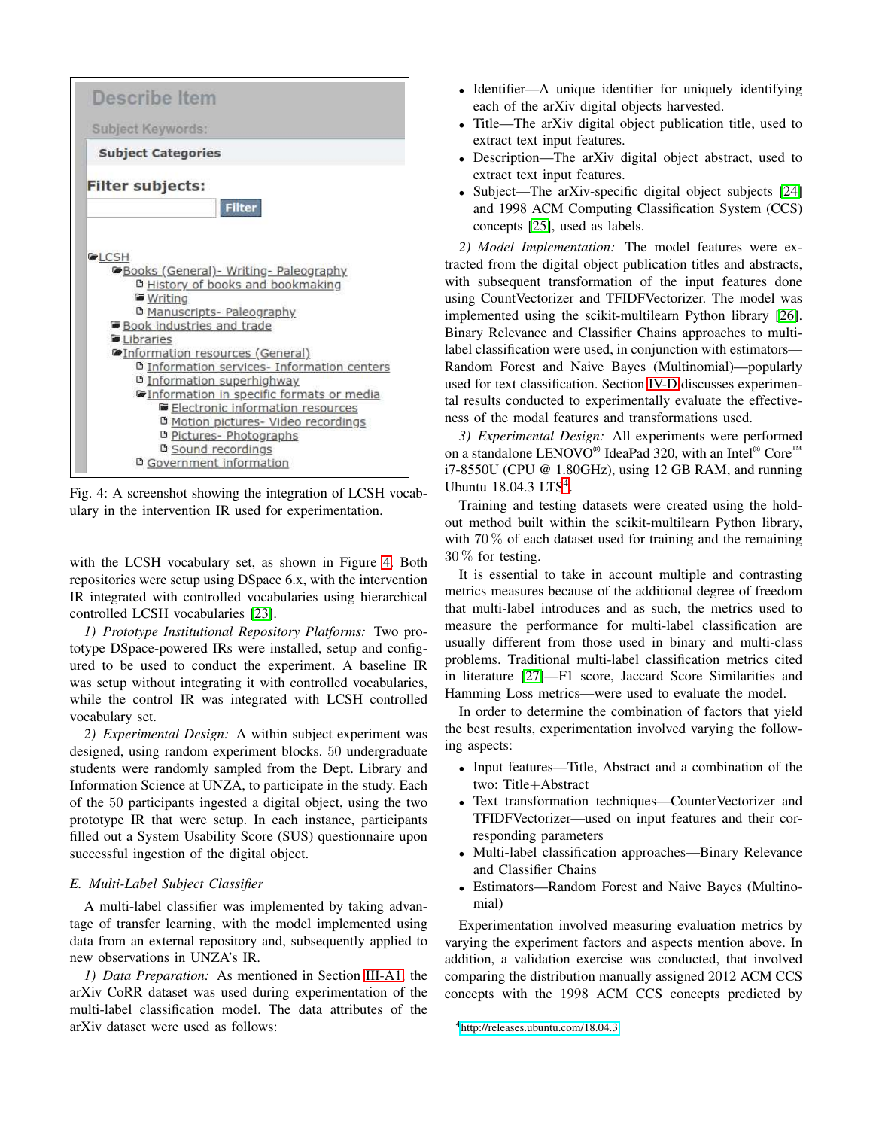<span id="page-4-2"></span>

Fig. 4: A screenshot showing the integration of LCSH vocabulary in the intervention IR used for experimentation.

with the LCSH vocabulary set, as shown in Figure [4.](#page-4-2) Both repositories were setup using DSpace 6.x, with the intervention IR integrated with controlled vocabularies using hierarchical controlled LCSH vocabularies [\[23\]](#page-9-22).

*1) Prototype Institutional Repository Platforms:* Two prototype DSpace-powered IRs were installed, setup and configured to be used to conduct the experiment. A baseline IR was setup without integrating it with controlled vocabularies, while the control IR was integrated with LCSH controlled vocabulary set.

*2) Experimental Design:* A within subject experiment was designed, using random experiment blocks. 50 undergraduate students were randomly sampled from the Dept. Library and Information Science at UNZA, to participate in the study. Each of the 50 participants ingested a digital object, using the two prototype IR that were setup. In each instance, participants filled out a System Usability Score (SUS) questionnaire upon successful ingestion of the digital object.

## <span id="page-4-0"></span>*E. Multi-Label Subject Classifier*

A multi-label classifier was implemented by taking advantage of transfer learning, with the model implemented using data from an external repository and, subsequently applied to new observations in UNZA's IR.

*1) Data Preparation:* As mentioned in Section [III-A1,](#page-2-2) the arXiv CoRR dataset was used during experimentation of the multi-label classification model. The data attributes of the arXiv dataset were used as follows:

- Identifier—A unique identifier for uniquely identifying each of the arXiv digital objects harvested.
- Title—The arXiv digital object publication title, used to extract text input features.
- Description—The arXiv digital object abstract, used to extract text input features.
- Subject—The arXiv-specific digital object subjects [\[24\]](#page-9-23) and 1998 ACM Computing Classification System (CCS) concepts [\[25\]](#page-9-24), used as labels.

<span id="page-4-1"></span>*2) Model Implementation:* The model features were extracted from the digital object publication titles and abstracts, with subsequent transformation of the input features done using CountVectorizer and TFIDFVectorizer. The model was implemented using the scikit-multilearn Python library [\[26\]](#page-9-25). Binary Relevance and Classifier Chains approaches to multilabel classification were used, in conjunction with estimators— Random Forest and Naive Bayes (Multinomial)—popularly used for text classification. Section [IV-D](#page-7-0) discusses experimental results conducted to experimentally evaluate the effectiveness of the modal features and transformations used.

*3) Experimental Design:* All experiments were performed on a standalone LENOVO<sup>®</sup> IdeaPad 320, with an Intel<sup>®</sup> Core<sup>™</sup> i7-8550U (CPU @ 1.80GHz), using 12 GB RAM, and running Ubuntu 18.0[4](#page-4-3).3 LTS<sup>4</sup>.

Training and testing datasets were created using the holdout method built within the scikit-multilearn Python library, with  $70\%$  of each dataset used for training and the remaining 30 % for testing.

It is essential to take in account multiple and contrasting metrics measures because of the additional degree of freedom that multi-label introduces and as such, the metrics used to measure the performance for multi-label classification are usually different from those used in binary and multi-class problems. Traditional multi-label classification metrics cited in literature [\[27\]](#page-9-26)—F1 score, Jaccard Score Similarities and Hamming Loss metrics—were used to evaluate the model.

In order to determine the combination of factors that yield the best results, experimentation involved varying the following aspects:

- Input features—Title, Abstract and a combination of the two: Title+Abstract
- Text transformation techniques—CounterVectorizer and TFIDFVectorizer—used on input features and their corresponding parameters
- Multi-label classification approaches—Binary Relevance and Classifier Chains
- Estimators—Random Forest and Naive Bayes (Multinomial)

Experimentation involved measuring evaluation metrics by varying the experiment factors and aspects mention above. In addition, a validation exercise was conducted, that involved comparing the distribution manually assigned 2012 ACM CCS concepts with the 1998 ACM CCS concepts predicted by

<span id="page-4-3"></span><sup>4</sup><http://releases.ubuntu.com/18.04.3>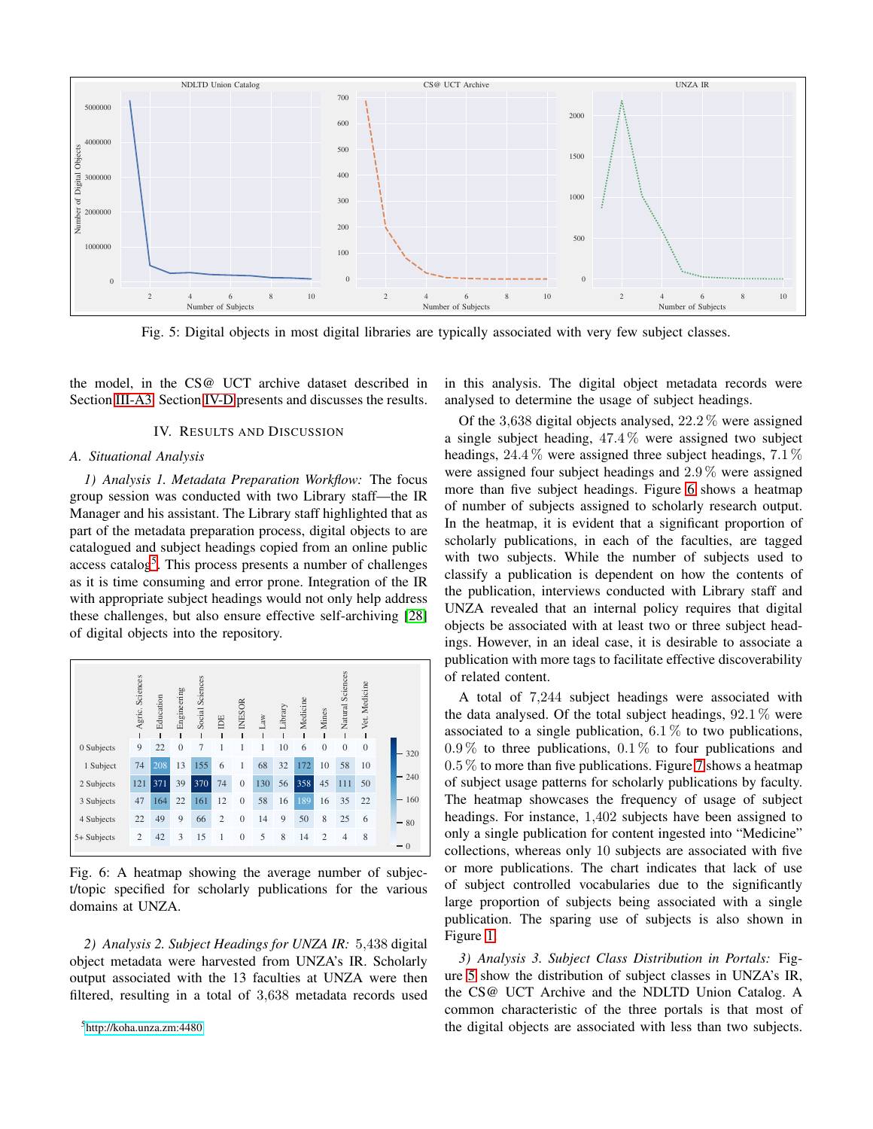<span id="page-5-3"></span>

Fig. 5: Digital objects in most digital libraries are typically associated with very few subject classes.

<span id="page-5-0"></span>the model, in the CS@ UCT archive dataset described in Section [III-A3.](#page-2-5) Section [IV-D](#page-7-0) presents and discusses the results.

#### IV. RESULTS AND DISCUSSION

## *A. Situational Analysis*

*1) Analysis 1. Metadata Preparation Workflow:* The focus group session was conducted with two Library staff—the IR Manager and his assistant. The Library staff highlighted that as part of the metadata preparation process, digital objects to are catalogued and subject headings copied from an online public access catalog<sup>[5](#page-5-1)</sup>. This process presents a number of challenges as it is time consuming and error prone. Integration of the IR with appropriate subject headings would not only help address these challenges, but also ensure effective self-archiving [\[28\]](#page-9-27) of digital objects into the repository.

<span id="page-5-2"></span>

Fig. 6: A heatmap showing the average number of subject/topic specified for scholarly publications for the various domains at UNZA.

*2) Analysis 2. Subject Headings for UNZA IR:* <sup>5</sup>,<sup>438</sup> digital object metadata were harvested from UNZA's IR. Scholarly output associated with the 13 faculties at UNZA were then filtered, resulting in a total of <sup>3</sup>,<sup>638</sup> metadata records used

<span id="page-5-1"></span><sup>5</sup><http://koha.unza.zm:4480>

in this analysis. The digital object metadata records were analysed to determine the usage of subject headings.

Of the <sup>3</sup>,<sup>638</sup> digital objects analysed, <sup>22</sup>.2 % were assigned a single subject heading, <sup>47</sup>.4 % were assigned two subject headings,  $24.4\%$  were assigned three subject headings,  $7.1\%$ were assigned four subject headings and <sup>2</sup>.9 % were assigned more than five subject headings. Figure [6](#page-5-2) shows a heatmap of number of subjects assigned to scholarly research output. In the heatmap, it is evident that a significant proportion of scholarly publications, in each of the faculties, are tagged with two subjects. While the number of subjects used to classify a publication is dependent on how the contents of the publication, interviews conducted with Library staff and UNZA revealed that an internal policy requires that digital objects be associated with at least two or three subject headings. However, in an ideal case, it is desirable to associate a publication with more tags to facilitate effective discoverability of related content.

A total of <sup>7</sup>,<sup>244</sup> subject headings were associated with the data analysed. Of the total subject headings,  $92.1\%$  were associated to a single publication,  $6.1\%$  to two publications,  $0.9\%$  to three publications,  $0.1\%$  to four publications and  $0.5\%$  to more than five publications. Figure [7](#page-6-0) shows a heatmap of subject usage patterns for scholarly publications by faculty. The heatmap showcases the frequency of usage of subject headings. For instance, <sup>1</sup>,<sup>402</sup> subjects have been assigned to only a single publication for content ingested into "Medicine" collections, whereas only 10 subjects are associated with five or more publications. The chart indicates that lack of use of subject controlled vocabularies due to the significantly large proportion of subjects being associated with a single publication. The sparing use of subjects is also shown in Figure [1.](#page-0-0)

<span id="page-5-4"></span>*3) Analysis 3. Subject Class Distribution in Portals:* Figure [5](#page-5-3) show the distribution of subject classes in UNZA's IR, the CS@ UCT Archive and the NDLTD Union Catalog. A common characteristic of the three portals is that most of the digital objects are associated with less than two subjects.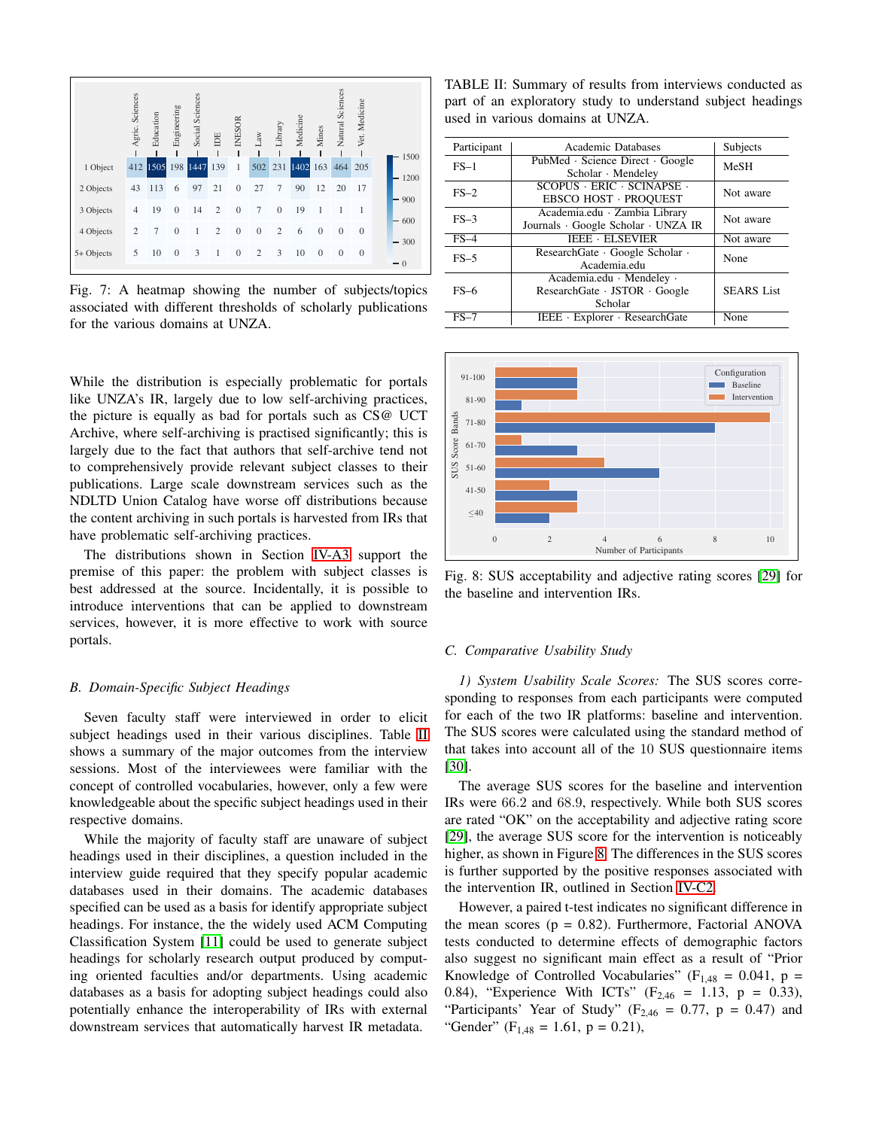<span id="page-6-0"></span>

Fig. 7: A heatmap showing the number of subjects/topics associated with different thresholds of scholarly publications for the various domains at UNZA.

While the distribution is especially problematic for portals like UNZA's IR, largely due to low self-archiving practices, the picture is equally as bad for portals such as CS@ UCT Archive, where self-archiving is practised significantly; this is largely due to the fact that authors that self-archive tend not to comprehensively provide relevant subject classes to their publications. Large scale downstream services such as the NDLTD Union Catalog have worse off distributions because the content archiving in such portals is harvested from IRs that have problematic self-archiving practices.

The distributions shown in Section [IV-A3](#page-5-4) support the premise of this paper: the problem with subject classes is best addressed at the source. Incidentally, it is possible to introduce interventions that can be applied to downstream services, however, it is more effective to work with source portals.

#### *B. Domain-Specific Subject Headings*

Seven faculty staff were interviewed in order to elicit subject headings used in their various disciplines. Table [II](#page-6-1) shows a summary of the major outcomes from the interview sessions. Most of the interviewees were familiar with the concept of controlled vocabularies, however, only a few were knowledgeable about the specific subject headings used in their respective domains.

While the majority of faculty staff are unaware of subject headings used in their disciplines, a question included in the interview guide required that they specify popular academic databases used in their domains. The academic databases specified can be used as a basis for identify appropriate subject headings. For instance, the the widely used ACM Computing Classification System [\[11\]](#page-9-10) could be used to generate subject headings for scholarly research output produced by computing oriented faculties and/or departments. Using academic databases as a basis for adopting subject headings could also potentially enhance the interoperability of IRs with external downstream services that automatically harvest IR metadata.

<span id="page-6-1"></span>TABLE II: Summary of results from interviews conducted as part of an exploratory study to understand subject headings used in various domains at UNZA.

| Participant | Academic Databases                                                                 | Subjects          |  |
|-------------|------------------------------------------------------------------------------------|-------------------|--|
| $FS-1$      | PubMed · Science Direct · Google<br>Scholar · Mendeley                             | MeSH              |  |
| $FS-2$      | $SCOPUS$ $\cdot$ $ERIC$ $\cdot$ $SCINAPSE$ $\cdot$<br><b>EBSCO HOST · PROQUEST</b> | Not aware         |  |
| $FS-3$      | Academia.edu · Zambia Library<br>Journals · Google Scholar · UNZA IR               | Not aware         |  |
| $FS-4$      | <b>IEEE · ELSEVIER</b>                                                             | Not aware         |  |
| $FS-5$      | ResearchGate · Google Scholar ·<br>Academia.edu                                    | None              |  |
| $FS-6$      | Academia.edu · Mendeley ·<br>ResearchGate · JSTOR · Google<br>Scholar              | <b>SEARS</b> List |  |
| FS–7        | IEEE · Explorer · ResearchGate                                                     | None              |  |

<span id="page-6-2"></span>

Fig. 8: SUS acceptability and adjective rating scores [\[29\]](#page-9-28) for the baseline and intervention IRs.

#### <span id="page-6-3"></span>*C. Comparative Usability Study*

*1) System Usability Scale Scores:* The SUS scores corresponding to responses from each participants were computed for each of the two IR platforms: baseline and intervention. The SUS scores were calculated using the standard method of that takes into account all of the 10 SUS questionnaire items [\[30\]](#page-9-29).

The average SUS scores for the baseline and intervention IRs were <sup>66</sup>.<sup>2</sup> and <sup>68</sup>.9, respectively. While both SUS scores are rated "OK" on the acceptability and adjective rating score [\[29\]](#page-9-28), the average SUS score for the intervention is noticeably higher, as shown in Figure [8.](#page-6-2) The differences in the SUS scores is further supported by the positive responses associated with the intervention IR, outlined in Section [IV-C2.](#page-7-1)

However, a paired t-test indicates no significant difference in the mean scores ( $p = 0.82$ ). Furthermore, Factorial ANOVA tests conducted to determine effects of demographic factors also suggest no significant main effect as a result of "Prior Knowledge of Controlled Vocabularies" ( $F_{1,48} = 0.041$ ,  $p =$ 0.84), "Experience With ICTs" ( $F_{2,46} = 1.13$ ,  $p = 0.33$ ), "Participants' Year of Study" ( $F_{2,46} = 0.77$ ,  $p = 0.47$ ) and "Gender" (F<sub>1,48</sub> = 1.61, p = 0.21),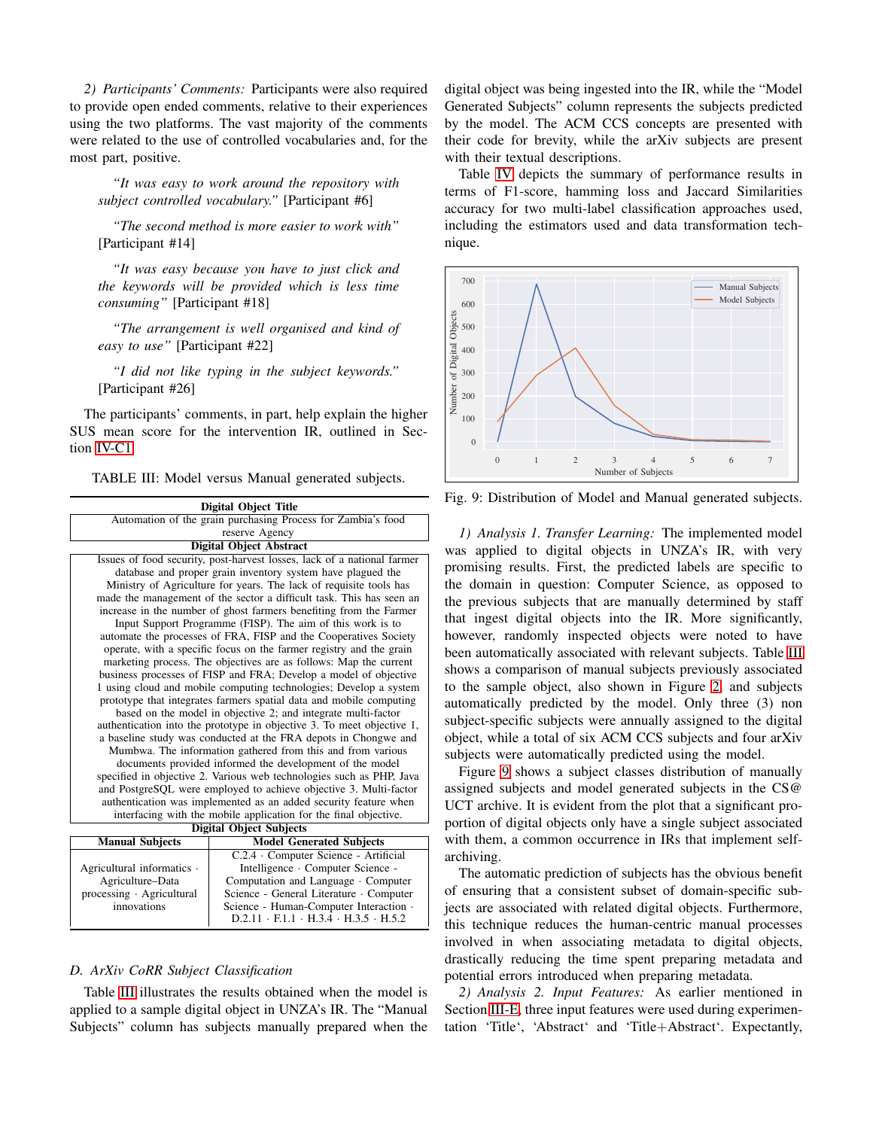<span id="page-7-1"></span>*2) Participants' Comments:* Participants were also required to provide open ended comments, relative to their experiences using the two platforms. The vast majority of the comments were related to the use of controlled vocabularies and, for the most part, positive.

*"It was easy to work around the repository with subject controlled vocabulary."* [Participant #6]

*"The second method is more easier to work with"* [Participant #14]

*"It was easy because you have to just click and the keywords will be provided which is less time consuming"* [Participant #18]

*"The arrangement is well organised and kind of easy to use"* [Participant #22]

*"I did not like typing in the subject keywords."* [Participant #26]

The participants' comments, in part, help explain the higher SUS mean score for the intervention IR, outlined in Section [IV-C1.](#page-6-3)

<span id="page-7-2"></span>TABLE III: Model versus Manual generated subjects.

|                                | <b>Digital Object Title</b>                                             |                                                         |  |  |  |  |  |  |  |
|--------------------------------|-------------------------------------------------------------------------|---------------------------------------------------------|--|--|--|--|--|--|--|
|                                | Automation of the grain purchasing Process for Zambia's food            |                                                         |  |  |  |  |  |  |  |
|                                | reserve Agency                                                          |                                                         |  |  |  |  |  |  |  |
|                                | <b>Digital Object Abstract</b>                                          |                                                         |  |  |  |  |  |  |  |
|                                | Issues of food security, post-harvest losses, lack of a national farmer |                                                         |  |  |  |  |  |  |  |
|                                | database and proper grain inventory system have plagued the             |                                                         |  |  |  |  |  |  |  |
|                                | Ministry of Agriculture for years. The lack of requisite tools has      |                                                         |  |  |  |  |  |  |  |
|                                | made the management of the sector a difficult task. This has seen an    |                                                         |  |  |  |  |  |  |  |
|                                | increase in the number of ghost farmers benefiting from the Farmer      |                                                         |  |  |  |  |  |  |  |
|                                | Input Support Programme (FISP). The aim of this work is to              |                                                         |  |  |  |  |  |  |  |
|                                | automate the processes of FRA, FISP and the Cooperatives Society        |                                                         |  |  |  |  |  |  |  |
|                                | operate, with a specific focus on the farmer registry and the grain     |                                                         |  |  |  |  |  |  |  |
|                                | marketing process. The objectives are as follows: Map the current       |                                                         |  |  |  |  |  |  |  |
|                                | business processes of FISP and FRA; Develop a model of objective        |                                                         |  |  |  |  |  |  |  |
|                                | 1 using cloud and mobile computing technologies; Develop a system       |                                                         |  |  |  |  |  |  |  |
|                                | prototype that integrates farmers spatial data and mobile computing     |                                                         |  |  |  |  |  |  |  |
|                                | based on the model in objective 2; and integrate multi-factor           |                                                         |  |  |  |  |  |  |  |
|                                | authentication into the prototype in objective 3. To meet objective 1,  |                                                         |  |  |  |  |  |  |  |
|                                | a baseline study was conducted at the FRA depots in Chongwe and         |                                                         |  |  |  |  |  |  |  |
|                                | Mumbwa. The information gathered from this and from various             |                                                         |  |  |  |  |  |  |  |
|                                | documents provided informed the development of the model                |                                                         |  |  |  |  |  |  |  |
|                                | specified in objective 2. Various web technologies such as PHP, Java    |                                                         |  |  |  |  |  |  |  |
|                                | and PostgreSQL were employed to achieve objective 3. Multi-factor       |                                                         |  |  |  |  |  |  |  |
|                                | authentication was implemented as an added security feature when        |                                                         |  |  |  |  |  |  |  |
|                                | interfacing with the mobile application for the final objective.        |                                                         |  |  |  |  |  |  |  |
| <b>Digital Object Subjects</b> |                                                                         |                                                         |  |  |  |  |  |  |  |
|                                | <b>Model Generated Subjects</b><br><b>Manual Subjects</b>               |                                                         |  |  |  |  |  |  |  |
|                                |                                                                         | C.2.4 · Computer Science - Artificial                   |  |  |  |  |  |  |  |
|                                | Agricultural informatics ·                                              | Intelligence · Computer Science -                       |  |  |  |  |  |  |  |
|                                | Agriculture-Data                                                        | Computation and Language · Computer                     |  |  |  |  |  |  |  |
|                                | processing · Agricultural                                               | Science - General Literature · Computer                 |  |  |  |  |  |  |  |
|                                | innovations                                                             | Science - Human-Computer Interaction ·                  |  |  |  |  |  |  |  |
|                                |                                                                         | $D.2.11 \cdot E1.1 \cdot H.3.4 \cdot H.3.5 \cdot H.5.2$ |  |  |  |  |  |  |  |

#### <span id="page-7-0"></span>*D. ArXiv CoRR Subject Classification*

Table [III](#page-7-2) illustrates the results obtained when the model is applied to a sample digital object in UNZA's IR. The "Manual Subjects" column has subjects manually prepared when the digital object was being ingested into the IR, while the "Model Generated Subjects" column represents the subjects predicted by the model. The ACM CCS concepts are presented with their code for brevity, while the arXiv subjects are present with their textual descriptions.

Table [IV](#page-8-1) depicts the summary of performance results in terms of F1-score, hamming loss and Jaccard Similarities accuracy for two multi-label classification approaches used, including the estimators used and data transformation technique.

<span id="page-7-3"></span>

Fig. 9: Distribution of Model and Manual generated subjects.

*1) Analysis 1. Transfer Learning:* The implemented model was applied to digital objects in UNZA's IR, with very promising results. First, the predicted labels are specific to the domain in question: Computer Science, as opposed to the previous subjects that are manually determined by staff that ingest digital objects into the IR. More significantly, however, randomly inspected objects were noted to have been automatically associated with relevant subjects. Table [III](#page-7-2) shows a comparison of manual subjects previously associated to the sample object, also shown in Figure [2,](#page-1-0) and subjects automatically predicted by the model. Only three (3) non subject-specific subjects were annually assigned to the digital object, while a total of six ACM CCS subjects and four arXiv subjects were automatically predicted using the model.

Figure [9](#page-7-3) shows a subject classes distribution of manually assigned subjects and model generated subjects in the CS@ UCT archive. It is evident from the plot that a significant proportion of digital objects only have a single subject associated with them, a common occurrence in IRs that implement selfarchiving.

The automatic prediction of subjects has the obvious benefit of ensuring that a consistent subset of domain-specific subjects are associated with related digital objects. Furthermore, this technique reduces the human-centric manual processes involved in when associating metadata to digital objects, drastically reducing the time spent preparing metadata and potential errors introduced when preparing metadata.

*2) Analysis 2. Input Features:* As earlier mentioned in Section [III-E,](#page-4-0) three input features were used during experimentation 'Title', 'Abstract' and 'Title+Abstract'. Expectantly,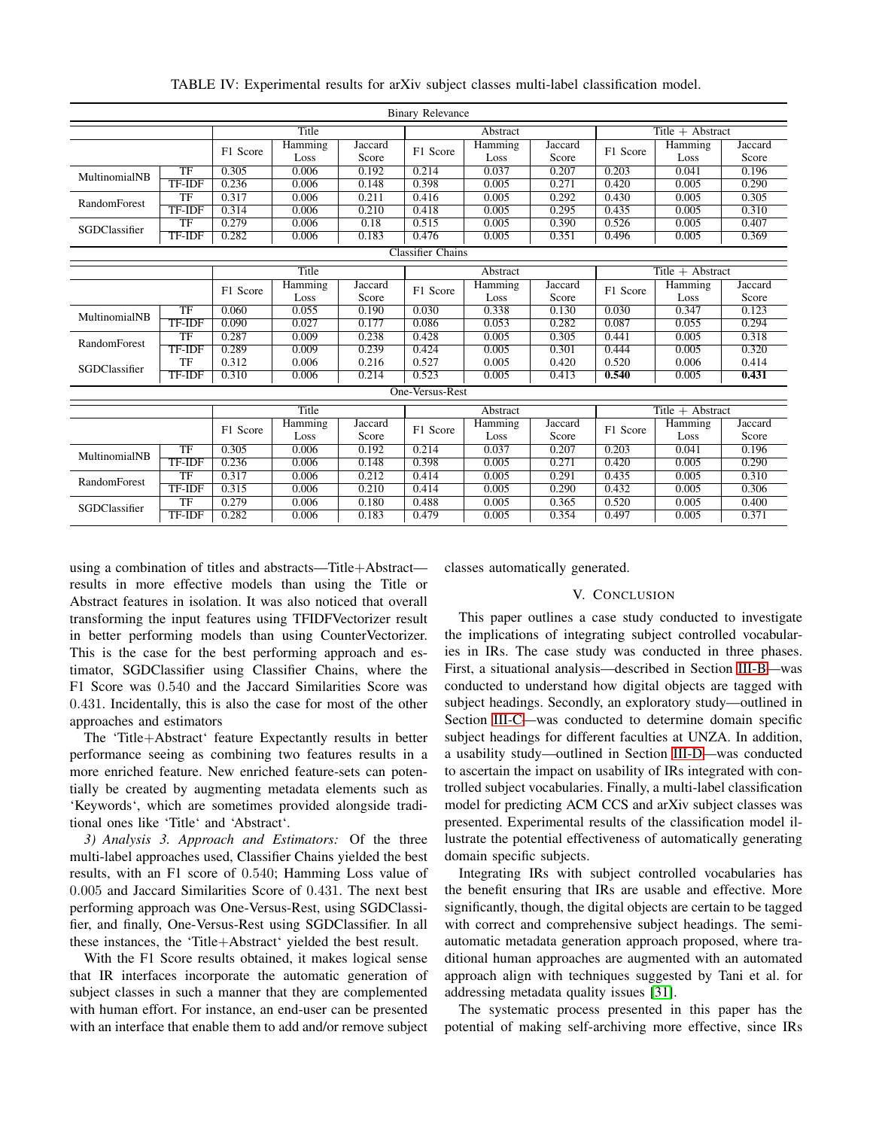<span id="page-8-1"></span>

| <b>Binary Relevance</b>  |                        |          |          |          |          |                    |                    |                    |         |         |
|--------------------------|------------------------|----------|----------|----------|----------|--------------------|--------------------|--------------------|---------|---------|
|                          |                        | Title    |          | Abstract |          |                    | Title $+$ Abstract |                    |         |         |
|                          |                        | F1 Score | Hamming  | Jaccard  | F1 Score | Hamming            | Jaccard            | F1 Score           | Hamming | Jaccard |
|                          |                        |          | Loss     | Score    |          | Loss               | Score              |                    | Loss    | Score   |
| MultinomialNB            | TF                     | 0.305    | 0.006    | 0.192    | 0.214    | 0.037              | 0.207              | 0.203              | 0.041   | 0.196   |
|                          | <b>TF-IDF</b>          | 0.236    | 0.006    | 0.148    | 0.398    | 0.005              | 0.271              | 0.420              | 0.005   | 0.290   |
| RandomForest             | TF                     | 0.317    | 0.006    | 0.211    | 0.416    | 0.005              | 0.292              | 0.430              | 0.005   | 0.305   |
|                          | <b>TF-IDF</b>          | 0.314    | 0.006    | 0.210    | 0.418    | 0.005              | 0.295              | 0.435              | 0.005   | 0.310   |
| SGDClassifier            | TF                     | 0.279    | 0.006    | 0.18     | 0.515    | 0.005              | 0.390              | 0.526              | 0.005   | 0.407   |
|                          | <b>TF-IDF</b>          | 0.282    | 0.006    | 0.183    | 0.476    | 0.005              | 0.351              | 0.496              | 0.005   | 0.369   |
| <b>Classifier Chains</b> |                        |          |          |          |          |                    |                    |                    |         |         |
| Title                    |                        |          | Abstract |          |          | Title $+$ Abstract |                    |                    |         |         |
|                          |                        |          | Hamming  | Jaccard  |          | Hamming            | Jaccard            |                    | Hamming | Jaccard |
|                          |                        | F1 Score | Loss     | Score    | F1 Score | Loss               | Score              | F1 Score           | Loss    | Score   |
| MultinomialNB            | TF                     | 0.060    | 0.055    | 0.190    | 0.030    | 0.338              | 0.130              | 0.030              | 0.347   | 0.123   |
|                          | <b>TF-IDF</b>          | 0.090    | 0.027    | 0.177    | 0.086    | 0.053              | 0.282              | 0.087              | 0.055   | 0.294   |
| RandomForest             | TF                     | 0.287    | 0.009    | 0.238    | 0.428    | 0.005              | 0.305              | 0.441              | 0.005   | 0.318   |
|                          | <b>TF-IDF</b>          | 0.289    | 0.009    | 0.239    | 0.424    | 0.005              | 0.301              | 0.444              | 0.005   | 0.320   |
| SGDClassifier            | TF                     | 0.312    | 0.006    | 0.216    | 0.527    | 0.005              | 0.420              | 0.520              | 0.006   | 0.414   |
|                          | <b>TF-IDF</b>          | 0.310    | 0.006    | 0.214    | 0.523    | 0.005              | 0.413              | 0.540              | 0.005   | 0.431   |
| One-Versus-Rest          |                        |          |          |          |          |                    |                    |                    |         |         |
| Title                    |                        |          |          |          | Abstract |                    |                    | Title $+$ Abstract |         |         |
|                          |                        | F1 Score | Hamming  | Jaccard  |          | Hamming            | Jaccard            | F1 Score           | Hamming | Jaccard |
|                          |                        |          | Loss     | Score    | F1 Score | Loss               | Score              |                    | Loss    | Score   |
|                          | TF                     | 0.305    | 0.006    | 0.192    | 0.214    | 0.037              | 0.207              | 0.203              | 0.041   | 0.196   |
| MultinomialNB            | TF-IDF                 | 0.236    | 0.006    | 0.148    | 0.398    | 0.005              | 0.271              | 0.420              | 0.005   | 0.290   |
| RandomForest             | $\overline{\text{TF}}$ | 0.317    | 0.006    | 0.212    | 0.414    | 0.005              | 0.291              | 0.435              | 0.005   | 0.310   |
|                          | TF-IDF                 | 0.315    | 0.006    | 0.210    | 0.414    | 0.005              | 0.290              | 0.432              | 0.005   | 0.306   |
|                          | TF                     | 0.279    | 0.006    | 0.180    | 0.488    | 0.005              | 0.365              | 0.520              | 0.005   | 0.400   |
| SGDClassifier            | <b>TF-IDF</b>          | 0.282    | 0.006    | 0.183    | 0.479    | 0.005              | 0.354              | 0.497              | 0.005   | 0.371   |

TABLE IV: Experimental results for arXiv subject classes multi-label classification model.

using a combination of titles and abstracts—Title+Abstract results in more effective models than using the Title or Abstract features in isolation. It was also noticed that overall transforming the input features using TFIDFVectorizer result in better performing models than using CounterVectorizer. This is the case for the best performing approach and estimator, SGDClassifier using Classifier Chains, where the F1 Score was <sup>0</sup>.<sup>540</sup> and the Jaccard Similarities Score was <sup>0</sup>.431. Incidentally, this is also the case for most of the other approaches and estimators

The 'Title+Abstract' feature Expectantly results in better performance seeing as combining two features results in a more enriched feature. New enriched feature-sets can potentially be created by augmenting metadata elements such as 'Keywords', which are sometimes provided alongside traditional ones like 'Title' and 'Abstract'.

*3) Analysis 3. Approach and Estimators:* Of the three multi-label approaches used, Classifier Chains yielded the best results, with an F1 score of <sup>0</sup>.540; Hamming Loss value of <sup>0</sup>.<sup>005</sup> and Jaccard Similarities Score of <sup>0</sup>.431. The next best performing approach was One-Versus-Rest, using SGDClassifier, and finally, One-Versus-Rest using SGDClassifier. In all these instances, the 'Title+Abstract' yielded the best result.

With the F1 Score results obtained, it makes logical sense that IR interfaces incorporate the automatic generation of subject classes in such a manner that they are complemented with human effort. For instance, an end-user can be presented with an interface that enable them to add and/or remove subject <span id="page-8-0"></span>classes automatically generated.

### V. CONCLUSION

This paper outlines a case study conducted to investigate the implications of integrating subject controlled vocabularies in IRs. The case study was conducted in three phases. First, a situational analysis—described in Section [III-B—](#page-3-0)was conducted to understand how digital objects are tagged with subject headings. Secondly, an exploratory study—outlined in Section [III-C—](#page-3-1)was conducted to determine domain specific subject headings for different faculties at UNZA. In addition, a usability study—outlined in Section [III-D—](#page-3-2)was conducted to ascertain the impact on usability of IRs integrated with controlled subject vocabularies. Finally, a multi-label classification model for predicting ACM CCS and arXiv subject classes was presented. Experimental results of the classification model illustrate the potential effectiveness of automatically generating domain specific subjects.

Integrating IRs with subject controlled vocabularies has the benefit ensuring that IRs are usable and effective. More significantly, though, the digital objects are certain to be tagged with correct and comprehensive subject headings. The semiautomatic metadata generation approach proposed, where traditional human approaches are augmented with an automated approach align with techniques suggested by Tani et al. for addressing metadata quality issues [\[31\]](#page-9-30).

The systematic process presented in this paper has the potential of making self-archiving more effective, since IRs